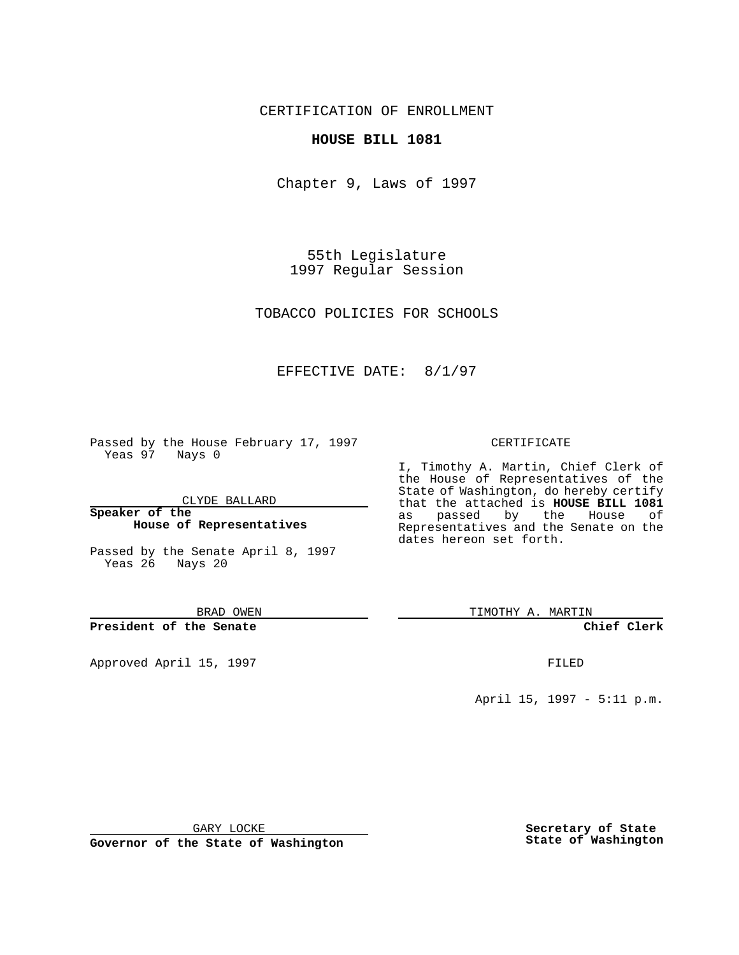CERTIFICATION OF ENROLLMENT

### **HOUSE BILL 1081**

Chapter 9, Laws of 1997

55th Legislature 1997 Regular Session

TOBACCO POLICIES FOR SCHOOLS

## EFFECTIVE DATE: 8/1/97

Passed by the House February 17, 1997 Yeas 97 Nays 0

CLYDE BALLARD

**Speaker of the House of Representatives**

Passed by the Senate April 8, 1997 Yeas 26 Nays 20

BRAD OWEN

**President of the Senate**

Approved April 15, 1997 **FILED** 

#### CERTIFICATE

I, Timothy A. Martin, Chief Clerk of the House of Representatives of the State of Washington, do hereby certify that the attached is **HOUSE BILL 1081** as passed by the House of Representatives and the Senate on the dates hereon set forth.

TIMOTHY A. MARTIN

**Chief Clerk**

April 15, 1997 - 5:11 p.m.

GARY LOCKE

**Governor of the State of Washington**

**Secretary of State State of Washington**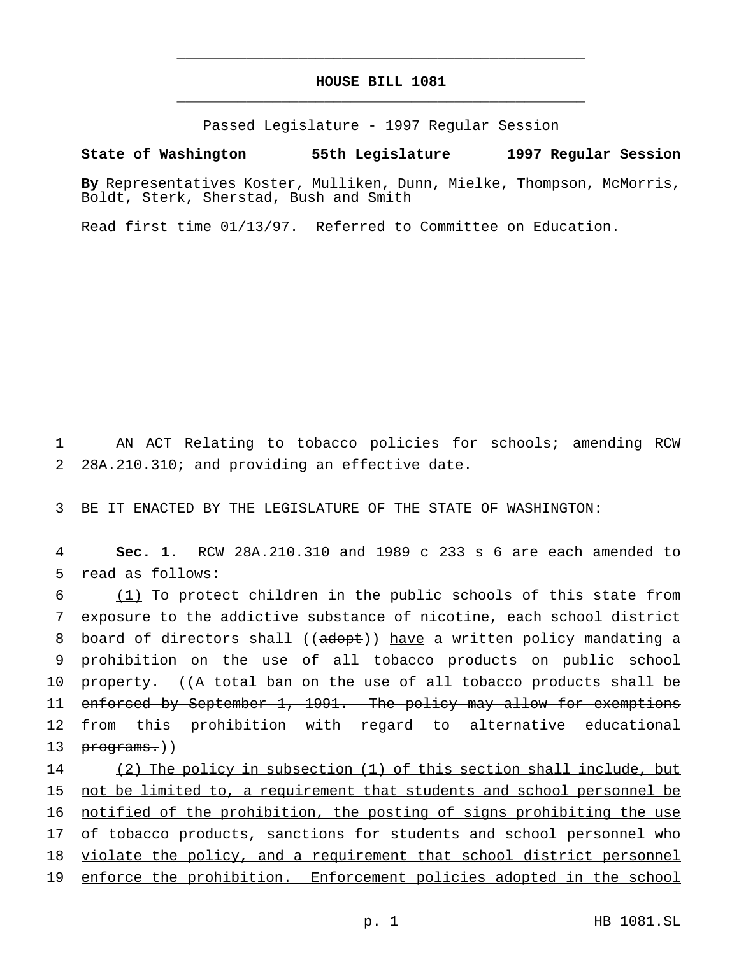# **HOUSE BILL 1081** \_\_\_\_\_\_\_\_\_\_\_\_\_\_\_\_\_\_\_\_\_\_\_\_\_\_\_\_\_\_\_\_\_\_\_\_\_\_\_\_\_\_\_\_\_\_\_

\_\_\_\_\_\_\_\_\_\_\_\_\_\_\_\_\_\_\_\_\_\_\_\_\_\_\_\_\_\_\_\_\_\_\_\_\_\_\_\_\_\_\_\_\_\_\_

Passed Legislature - 1997 Regular Session

#### **State of Washington 55th Legislature 1997 Regular Session**

**By** Representatives Koster, Mulliken, Dunn, Mielke, Thompson, McMorris, Boldt, Sterk, Sherstad, Bush and Smith

Read first time 01/13/97. Referred to Committee on Education.

1 AN ACT Relating to tobacco policies for schools; amending RCW 2 28A.210.310; and providing an effective date.

3 BE IT ENACTED BY THE LEGISLATURE OF THE STATE OF WASHINGTON:

4 **Sec. 1.** RCW 28A.210.310 and 1989 c 233 s 6 are each amended to 5 read as follows:

6 (1) To protect children in the public schools of this state from 7 exposure to the addictive substance of nicotine, each school district 8 board of directors shall ((adopt)) have a written policy mandating a 9 prohibition on the use of all tobacco products on public school 10 property. ((A total ban on the use of all tobacco products shall be 11 enforced by September 1, 1991. The policy may allow for exemptions 12 from this prohibition with regard to alternative educational 13 programs.))

 (2) The policy in subsection (1) of this section shall include, but not be limited to, a requirement that students and school personnel be notified of the prohibition, the posting of signs prohibiting the use 17 of tobacco products, sanctions for students and school personnel who violate the policy, and a requirement that school district personnel enforce the prohibition. Enforcement policies adopted in the school